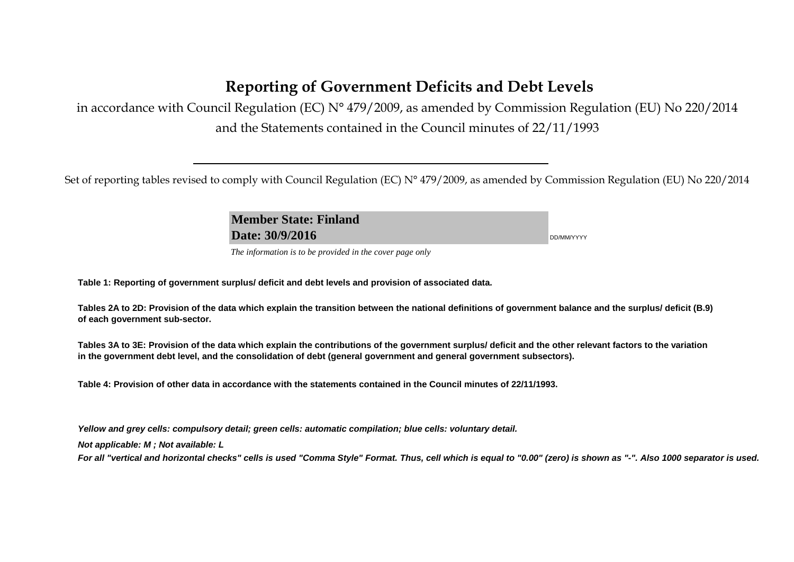# **Reporting of Government Deficits and Debt Levels**

in accordance with Council Regulation (EC) N° 479/2009, as amended by Commission Regulation (EU) No 220/2014 and the Statements contained in the Council minutes of 22/11/1993

Set of reporting tables revised to comply with Council Regulation (EC) N° 479/2009, as amended by Commission Regulation (EU) No 220/2014

**Member State: Finland Date: 30/9/2016** DD/MM/YYYY

*The information is to be provided in the cover page only* 

**Table 1: Reporting of government surplus/ deficit and debt levels and provision of associated data.**

**Tables 2A to 2D: Provision of the data which explain the transition between the national definitions of government balance and the surplus/ deficit (B.9) of each government sub-sector.**

**Tables 3A to 3E: Provision of the data which explain the contributions of the government surplus/ deficit and the other relevant factors to the variation in the government debt level, and the consolidation of debt (general government and general government subsectors).**

**Table 4: Provision of other data in accordance with the statements contained in the Council minutes of 22/11/1993.**

*Yellow and grey cells: compulsory detail; green cells: automatic compilation; blue cells: voluntary detail.*

*Not applicable: M ; Not available: L* 

*For all "vertical and horizontal checks" cells is used "Comma Style" Format. Thus, cell which is equal to "0.00" (zero) is shown as "-". Also 1000 separator is used.*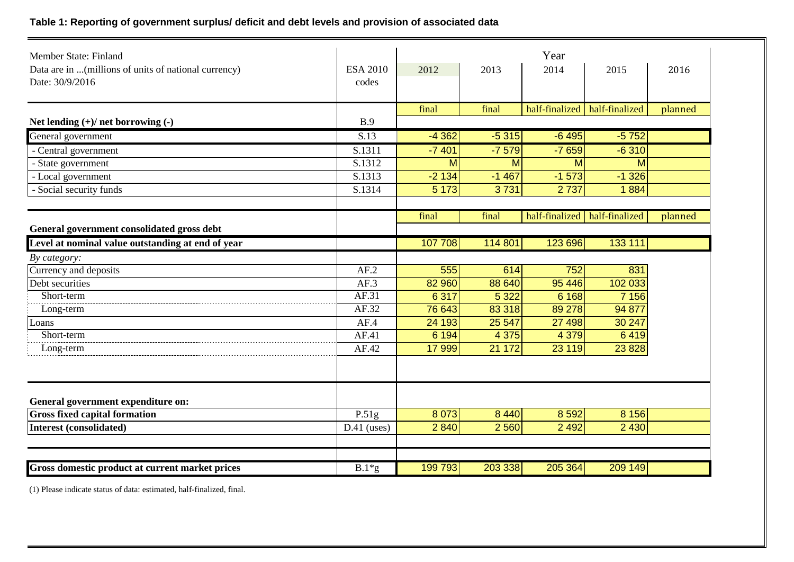## **Table 1: Reporting of government surplus/ deficit and debt levels and provision of associated data**

| Member State: Finland                                                    |                          |         |         | Year    |                                 |         |
|--------------------------------------------------------------------------|--------------------------|---------|---------|---------|---------------------------------|---------|
| Data are in  (millions of units of national currency)<br>Date: 30/9/2016 | <b>ESA 2010</b><br>codes | 2012    | 2013    | 2014    | 2015                            | 2016    |
|                                                                          |                          | final   | final   |         | half-finalized   half-finalized | planned |
| Net lending $(+)/$ net borrowing $(-)$                                   | B.9                      |         |         |         |                                 |         |
| General government                                                       | S.13                     | $-4362$ | $-5315$ | $-6495$ | $-5752$                         |         |
| - Central government                                                     | S.1311                   | $-7401$ | $-7579$ | $-7659$ | $-6310$                         |         |
| - State government                                                       | S.1312                   | M       | M       | M       | M                               |         |
| - Local government                                                       | S.1313                   | $-2134$ | $-1467$ | $-1573$ | $-1326$                         |         |
| - Social security funds                                                  | S.1314                   | 5 1 7 3 | 3731    | 2737    | 1884                            |         |
|                                                                          |                          | final   | final   |         | half-finalized half-finalized   |         |
| General government consolidated gross debt                               |                          |         |         |         |                                 | planned |
| Level at nominal value outstanding at end of year                        |                          | 107 708 | 114 801 | 123 696 | 133 111                         |         |
| By category:                                                             |                          |         |         |         |                                 |         |
| Currency and deposits                                                    | AF.2                     | 555     | 614     | 752     | 831                             |         |
| Debt securities                                                          | AF.3                     | 82 960  | 88 640  | 95 4 46 | 102 033                         |         |
| Short-term                                                               | AF.31                    | 6 3 1 7 | 5 3 2 2 | 6 1 6 8 | 7 1 5 6                         |         |
| Long-term                                                                | AF.32                    | 76 643  | 83 318  | 89 278  | 94 877                          |         |
| Loans                                                                    | AF.4                     | 24 193  | 25 5 47 | 27 4 98 | 30 247                          |         |
| Short-term                                                               | AF.41                    | 6 1 9 4 | 4 3 7 5 | 4 3 7 9 | 6419                            |         |
| Long-term                                                                | AF.42                    | 17 999  | 21 172  | 23 119  | 23 8 28                         |         |
|                                                                          |                          |         |         |         |                                 |         |
| General government expenditure on:                                       |                          |         |         |         |                                 |         |
| <b>Gross fixed capital formation</b>                                     | P.51g                    | 8 0 7 3 | 8 4 4 0 | 8 5 9 2 | 8 1 5 6                         |         |
| <b>Interest (consolidated)</b>                                           | $D.41$ (uses)            | 2 8 4 0 | 2 5 6 0 | 2 4 9 2 | 2 4 3 0                         |         |
|                                                                          |                          |         |         |         |                                 |         |
| Gross domestic product at current market prices                          | $B.1*g$                  | 199 793 | 203 338 | 205 364 | 209 149                         |         |

(1) Please indicate status of data: estimated, half-finalized, final.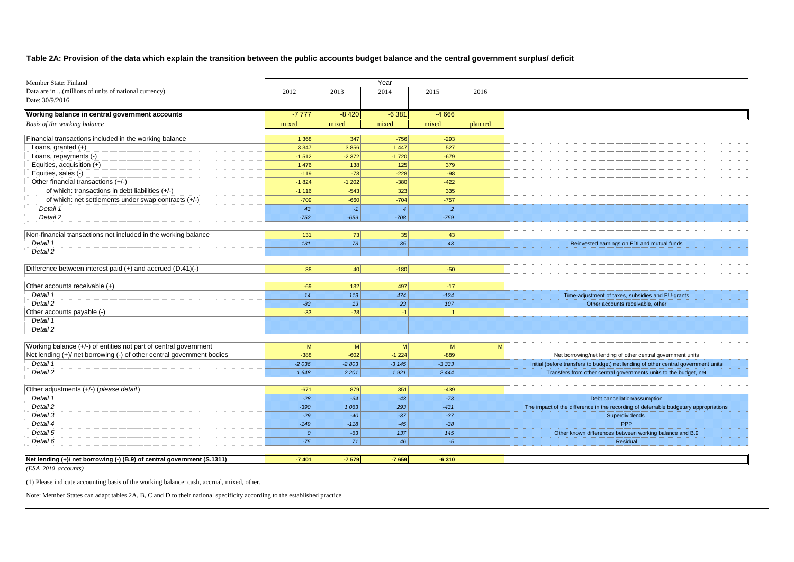### **Table 2A: Provision of the data which explain the transition between the public accounts budget balance and the central government surplus/ deficit**

| Member State: Finland                                                   |         |                 | Year           |                |         |                                                                                      |
|-------------------------------------------------------------------------|---------|-----------------|----------------|----------------|---------|--------------------------------------------------------------------------------------|
| Data are in  (millions of units of national currency)                   | 2012    | 2013            | 2014           | 2015           | 2016    |                                                                                      |
| Date: 30/9/2016                                                         |         |                 |                |                |         |                                                                                      |
| Working balance in central government accounts                          | $-7777$ | $-8420$         | $-6381$        | $-4666$        |         |                                                                                      |
| Basis of the working balance                                            | mixed   | mixed           | mixed          | mixed          | planned |                                                                                      |
| Financial transactions included in the working balance                  | 1 3 6 8 | 347             | $-756$         | $-293$         |         |                                                                                      |
| Loans, granted (+)                                                      | 3 3 4 7 | 3856            | 1 4 4 7        | 527            |         |                                                                                      |
| Loans, repayments (-)                                                   | $-1512$ | $-2372$         | $-1720$        | $-679$         |         |                                                                                      |
| Equities, acquisition (+)                                               | 1 4 7 6 | 138             | 125            | 379            |         |                                                                                      |
| Equities, sales (-)                                                     | $-119$  | $-73$           | $-228$         | $-98$          |         |                                                                                      |
| Other financial transactions (+/-)                                      | $-1824$ | $-1202$         | $-380$         | $-422$         |         |                                                                                      |
| of which: transactions in debt liabilities (+/-)                        | $-1116$ | $-543$          | 323            | $\boxed{335}$  |         |                                                                                      |
| of which: net settlements under swap contracts (+/-)                    | $-709$  | $-660$          | $-704$         | $-757$         |         |                                                                                      |
| Detail 1                                                                | 43      | $-1$            | $\overline{4}$ | $\vert$ 2      |         |                                                                                      |
| Detail 2                                                                | $-752$  | $-659$          | $-708$         | $-759$         |         |                                                                                      |
|                                                                         |         |                 |                |                |         |                                                                                      |
| Non-financial transactions not included in the working balance          | 131     | 73              | 35             | 43             |         |                                                                                      |
| Detail 1                                                                | 131     | 73              | 35             | 43             |         | Reinvested earnings on FDI and mutual funds                                          |
| Detail 2                                                                |         |                 |                |                |         |                                                                                      |
|                                                                         |         |                 |                |                |         |                                                                                      |
| Difference between interest paid (+) and accrued (D.41)(-)              | 38      | 40 <sup>1</sup> | $-180$         | $-50$          |         |                                                                                      |
|                                                                         |         |                 |                |                |         |                                                                                      |
| Other accounts receivable (+)                                           | $-69$   | 132             | 497            | $-17$          |         |                                                                                      |
| Detail 1                                                                | 14      | 119             | 474            | $-124$         |         | Time-adjustment of taxes, subsidies and EU-grants                                    |
| Detail 2                                                                | $-83$   | 13              | 23             | 107            |         | Other accounts receivable, other                                                     |
| Other accounts payable (-)                                              | $-33$   | $-28$           | $-1$           | $\overline{1}$ |         |                                                                                      |
| Detail 1                                                                |         |                 |                |                |         |                                                                                      |
| Detail 2                                                                |         |                 |                |                |         |                                                                                      |
|                                                                         |         |                 |                |                |         |                                                                                      |
| Working balance (+/-) of entities not part of central government        | M       | M               | M              | M              | M       |                                                                                      |
| Net lending (+)/ net borrowing (-) of other central government bodies   | $-388$  | $-602$          | $-1224$        | $-889$         |         | Net borrowing/net lending of other central government units                          |
| Detail 1                                                                | $-2036$ | $-2803$         | $-3145$        | $-3333$        |         | Initial (before transfers to budget) net lending of other central government units   |
| Detail 2                                                                | 1648    | 2 2 0 1         | 1921           | 2444           |         | Transfers from other central governments units to the budget, net                    |
|                                                                         |         |                 |                |                |         |                                                                                      |
| Other adjustments (+/-) (please detail)                                 | $-671$  | 879             | 351            | $-439$         |         |                                                                                      |
| Detail 1                                                                | $-28$   | $-34$           | $-43$          | $-73$          |         | Debt cancellation/assumption                                                         |
| Detail 2                                                                | $-390$  | 1063            | 293            | $-431$         |         | The impact of the difference in the recording of deferrable budgetary appropriations |
| Detail 3                                                                | $-29$   | $-40$           | $-37$          | $-37$          |         | Superdividends                                                                       |
| Detail 4                                                                | $-149$  | $-118$          | $-45$          | $-38$          |         | <b>PPP</b>                                                                           |
| Detail 5                                                                | 0       | $-63$           | 137            | 145            |         | Other known differences between working balance and B.9                              |
| Detail 6                                                                | $-75$   | 71              | 46             | $-5$           |         | Residual                                                                             |
|                                                                         |         |                 |                |                |         |                                                                                      |
| Net lending (+)/ net borrowing (-) (B.9) of central government (S.1311) |         |                 |                |                |         |                                                                                      |
|                                                                         | $-7401$ | $-7579$         | $-7659$        | $-6310$        |         |                                                                                      |

*(ESA 2010 accounts)*

(1) Please indicate accounting basis of the working balance: cash, accrual, mixed, other.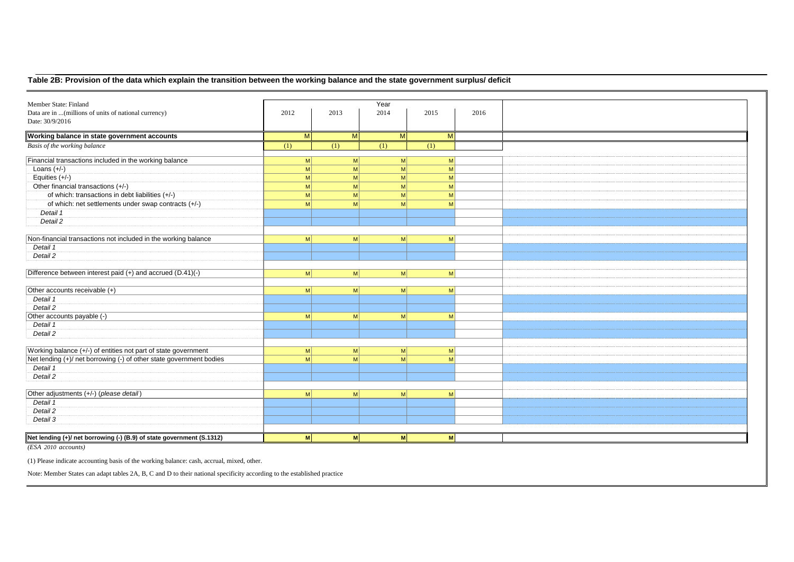## **Table 2B: Provision of the data which explain the transition between the working balance and the state government surplus/ deficit**

| Member State: Finland                                                 |                |              | Year            |      |      |
|-----------------------------------------------------------------------|----------------|--------------|-----------------|------|------|
| Data are in  (millions of units of national currency)                 | 2012           | 2013         | 2014            | 2015 | 2016 |
| Date: 30/9/2016                                                       |                |              |                 |      |      |
|                                                                       |                |              |                 |      |      |
| Working balance in state government accounts                          | M              | M            | M               | M    |      |
| Basis of the working balance                                          | (1)            | (1)          | (1)             | (1)  |      |
| Financial transactions included in the working balance                | M              | $\mathsf{M}$ | $\mathsf{M}$    | M    |      |
| Loans $(+/-)$                                                         | M <sup>2</sup> | M            | $\mathsf{M}$    | M    |      |
| Equities $(+/-)$                                                      | M              | M            | - M             | M    |      |
| Other financial transactions (+/-)                                    | M              | M            | $\mathsf{M}$    | M    |      |
| of which: transactions in debt liabilities (+/-)                      | M              | M            | $\mathsf{M}$    | M    |      |
| of which: net settlements under swap contracts (+/-)                  | M              | M            | -M              | M    |      |
| Detail 1                                                              |                |              |                 |      |      |
| Detail 2                                                              |                |              |                 |      |      |
|                                                                       |                |              |                 |      |      |
| Non-financial transactions not included in the working balance        | M              | M            | M               | M    |      |
| Detail 1                                                              |                |              |                 |      |      |
| Detail 2                                                              |                |              |                 |      |      |
|                                                                       |                |              |                 |      |      |
| Difference between interest paid (+) and accrued (D.41)(-)            | M              | M            | M               | M    |      |
|                                                                       |                |              |                 |      |      |
| Other accounts receivable (+)                                         | M              | M            | M               | M    |      |
| Detail 1                                                              |                |              |                 |      |      |
| Detail 2                                                              |                |              |                 |      |      |
| Other accounts payable (-)                                            | M              | $\mathsf{M}$ | $\vert M \vert$ | M    |      |
| Detail 1                                                              |                |              |                 |      |      |
| Detail 2                                                              |                |              |                 |      |      |
|                                                                       |                |              |                 |      |      |
| Working balance (+/-) of entities not part of state government        | M              | M            | M               | M    |      |
| Net lending (+)/ net borrowing (-) of other state government bodies   | M              | M            | $\mathsf{M}$    | M    |      |
| Detail 1                                                              |                |              |                 |      |      |
| Detail 2                                                              |                |              |                 |      |      |
|                                                                       |                |              |                 |      |      |
| Other adjustments (+/-) (please detail)                               | M <sup>2</sup> | $\mathsf{M}$ | $\vert M \vert$ | M    |      |
| Detail 1                                                              |                |              |                 |      |      |
| Detail 2                                                              |                |              |                 |      |      |
| Detail 3                                                              |                |              |                 |      |      |
| Net lending (+)/ net borrowing (-) (B.9) of state government (S.1312) | M              | M            | M               | M    |      |
| (ESA 2010 accounts)                                                   |                |              |                 |      |      |

(1) Please indicate accounting basis of the working balance: cash, accrual, mixed, other.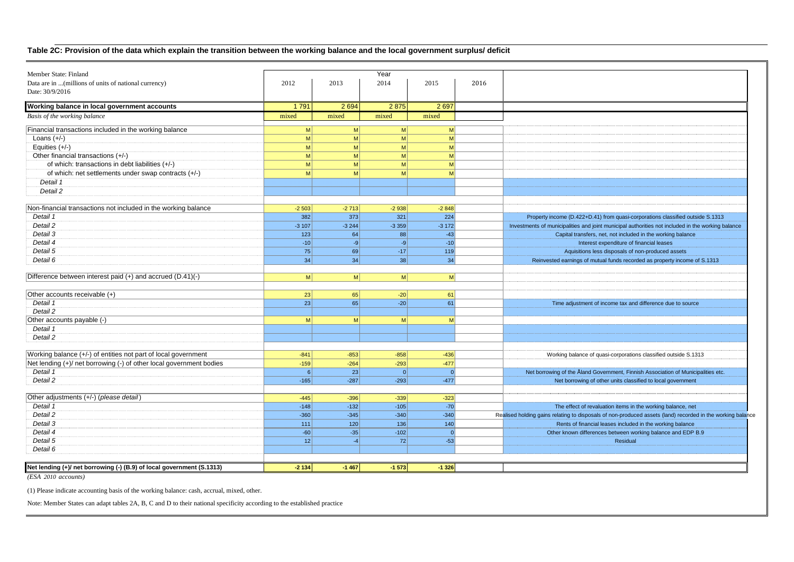## **Table 2C: Provision of the data which explain the transition between the working balance and the local government surplus/ deficit**

| Member State: Finland                                                 |                 |              | Year           |         |      |                                                                                                            |
|-----------------------------------------------------------------------|-----------------|--------------|----------------|---------|------|------------------------------------------------------------------------------------------------------------|
| Data are in  (millions of units of national currency)                 | 2012            | 2013         | 2014           | 2015    | 2016 |                                                                                                            |
| Date: 30/9/2016                                                       |                 |              |                |         |      |                                                                                                            |
|                                                                       |                 |              |                |         |      |                                                                                                            |
| Working balance in local government accounts                          | 1791            | 2694         | 2875           | 2697    |      |                                                                                                            |
| Basis of the working balance                                          | mixed           | mixed        | mixed          | mixed   |      |                                                                                                            |
| Financial transactions included in the working balance                | <sub>M</sub>    | $\mathsf{M}$ | M              | M       |      |                                                                                                            |
| Loans $(+/-)$                                                         | M <sub>l</sub>  | M            | M              | M       |      |                                                                                                            |
| Equities $(+/-)$                                                      | M <sup>2</sup>  | M            | M              | M       |      |                                                                                                            |
| Other financial transactions (+/-)                                    | M               | M            | M              | M       |      |                                                                                                            |
| of which: transactions in debt liabilities (+/-)                      | M               | M            | M              | M       |      |                                                                                                            |
| of which: net settlements under swap contracts (+/-)                  | M               | M            | M              | M       |      |                                                                                                            |
| Detail 1                                                              |                 |              |                |         |      |                                                                                                            |
| Detail 2                                                              |                 |              |                |         |      |                                                                                                            |
|                                                                       |                 |              |                |         |      |                                                                                                            |
| Non-financial transactions not included in the working balance        | $-2503$         | $-2713$      | $-2938$        | $-2848$ |      |                                                                                                            |
| Detail 1                                                              | 382             | 373          | 321            | 224     |      | Property income (D.422+D.41) from quasi-corporations classified outside S.1313                             |
| Detail 2                                                              | $-3107$         | $-3244$      | $-3359$        | $-3172$ |      | Investments of municipalities and joint municipal authorities not included in the working balance          |
| Detail 3                                                              | 123             | 64           | 88             | $-43$   |      | Capital transfers, net, not included in the working balance                                                |
| Detail 4                                                              | $-10$           | $-9$         | $-9$           | $-10$   |      | Interest expenditure of financial leases                                                                   |
| Detail 5                                                              | 75              | 69           | $-17$          | 119     |      | Aquisitions less disposals of non-produced assets                                                          |
| Detail 6                                                              | 34              | 34           | 38             | 34      |      | Reinvested earnings of mutual funds recorded as property income of S.1313                                  |
|                                                                       |                 |              |                |         |      |                                                                                                            |
| Difference between interest paid (+) and accrued (D.41)(-)            | <sub>M</sub>    | $\mathsf{M}$ | M              | M       |      |                                                                                                            |
| Other accounts receivable (+)                                         | 23 <sup>1</sup> | 65           | $-20$          | 61      |      |                                                                                                            |
| Detail 1                                                              | 23              | 65           | $-20$          | 61      |      |                                                                                                            |
| Detail 2                                                              |                 |              |                |         |      | Time adjustment of income tax and difference due to source                                                 |
|                                                                       |                 |              |                |         |      |                                                                                                            |
| Other accounts payable (-)                                            | M <sup>2</sup>  | $\mathbf{M}$ | M              | -M      |      |                                                                                                            |
| Detail 1                                                              |                 |              |                |         |      |                                                                                                            |
| Detail 2                                                              |                 |              |                |         |      |                                                                                                            |
| Working balance (+/-) of entities not part of local government        | $-841$          | $-853$       | $-858$         | $-436$  |      | Working balance of quasi-corporations classified outside S.1313                                            |
| Net lending (+)/ net borrowing (-) of other local government bodies   | $-159$          | $-264$       | $-293$         | $-477$  |      |                                                                                                            |
| Detail 1                                                              | 6               | 23           | $\overline{0}$ | 0       |      | Net borrowing of the Åland Government, Finnish Association of Municipalities etc.                          |
| Detail 2                                                              | $-165$          | $-287$       | $-293$         | $-477$  |      | Net borrowing of other units classified to local government                                                |
|                                                                       |                 |              |                |         |      |                                                                                                            |
| Other adjustments (+/-) (please detail)                               | $-445$          | $-396$       | $-339$         | $-323$  |      |                                                                                                            |
| Detail 1                                                              | $-148$          | $-132$       | $-105$         | $-70$   |      | The effect of revaluation items in the working balance, net                                                |
| Detail 2                                                              | $-360$          | $-345$       | $-340$         | $-340$  |      | Realised holding gains relating to disposals of non-produced assets (land) recorded in the working balance |
| Detail 3                                                              | 111             | 120          | 136            | 140     |      | Rents of financial leases included in the working balance                                                  |
| Detail 4                                                              | $-60$           | $-35$        | $-102$         | 0       |      | Other known differences between working balance and EDP B.9                                                |
| Detail 5                                                              | 12              | $-4$         | 72             | $-53$   |      | Residual                                                                                                   |
| Detail 6                                                              |                 |              |                |         |      |                                                                                                            |
|                                                                       |                 |              |                |         |      |                                                                                                            |
| Net lending (+)/ net borrowing (-) (B.9) of local government (S.1313) | $-2134$         | $-1467$      | $-1573$        | $-1326$ |      |                                                                                                            |
|                                                                       |                 |              |                |         |      |                                                                                                            |

*(ESA 2010 accounts)*

(1) Please indicate accounting basis of the working balance: cash, accrual, mixed, other.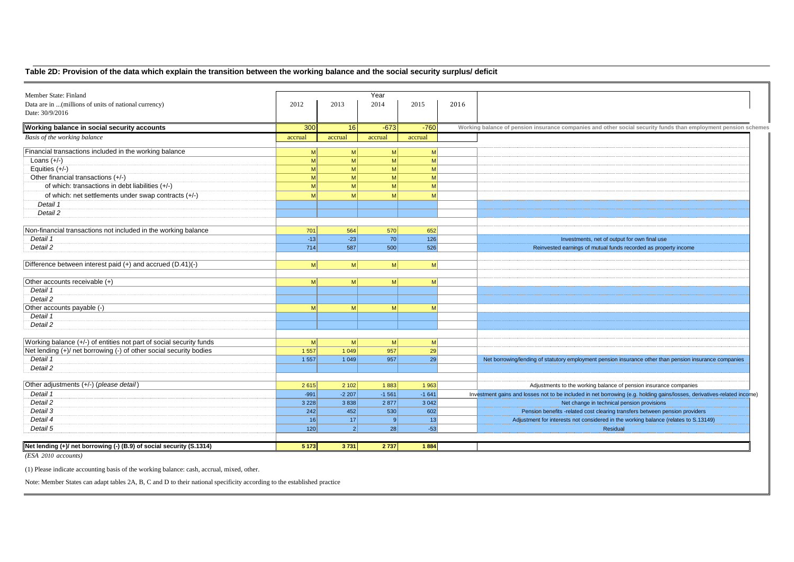## **Table 2D: Provision of the data which explain the transition between the working balance and the social security surplus/ deficit**

| Member State: Finland                                                |                |                | Year           |                |                                                                                                                         |
|----------------------------------------------------------------------|----------------|----------------|----------------|----------------|-------------------------------------------------------------------------------------------------------------------------|
| Data are in  (millions of units of national currency)                | 2012           | 2013           | 2014           | 2015           | 2016                                                                                                                    |
| Date: 30/9/2016                                                      |                |                |                |                |                                                                                                                         |
| Working balance in social security accounts                          | 300            | 16             | $-673$         | $-760$         | Working balance of pension insurance companies and other social security funds than employment pension schemes          |
| Basis of the working balance                                         | accrual        | accrual        | accrual        | accrual        |                                                                                                                         |
| Financial transactions included in the working balance               | M              | M              | M              | $\mathsf{M}$   |                                                                                                                         |
| Loans $(+/-)$                                                        | M              | M              | $\mathsf{M}$   | $\mathsf{M}$   |                                                                                                                         |
| Equities $(+/-)$                                                     | M              | M              | M              | M              |                                                                                                                         |
| Other financial transactions (+/-)                                   | M              | M              | <sub>M</sub>   | M              |                                                                                                                         |
| of which: transactions in debt liabilities (+/-)                     | M              | M              | M              | M              |                                                                                                                         |
| of which: net settlements under swap contracts (+/-)                 | M              | M              | M              | M              |                                                                                                                         |
| Detail 1                                                             |                |                |                |                |                                                                                                                         |
| Detail 2                                                             |                |                |                |                |                                                                                                                         |
|                                                                      |                |                |                |                |                                                                                                                         |
| Non-financial transactions not included in the working balance       | 701            | 564            | 570            | 652            |                                                                                                                         |
| Detail 1                                                             | $-13$          | $-23$          | 70             | 126            | Investments, net of output for own final use                                                                            |
| Detail 2                                                             | 714            | 587            | 500            | 526            | Reinvested earnings of mutual funds recorded as property income                                                         |
|                                                                      |                |                |                |                |                                                                                                                         |
| Difference between interest paid (+) and accrued (D.41)(-)           | M <sub>l</sub> | M <sub>l</sub> | <sub>M</sub>   | M <sup>2</sup> |                                                                                                                         |
|                                                                      |                |                |                |                |                                                                                                                         |
| Other accounts receivable (+)                                        | M <sub>l</sub> | M              | M <sub>l</sub> | $\mathsf{M}$   |                                                                                                                         |
| Detail 1                                                             |                |                |                |                |                                                                                                                         |
| Detail 2                                                             |                |                |                |                |                                                                                                                         |
| Other accounts payable (-)                                           | M <sub>l</sub> | M              | -MI            | -MI            |                                                                                                                         |
| Detail 1                                                             |                |                |                |                |                                                                                                                         |
| Detail 2                                                             |                |                |                |                |                                                                                                                         |
|                                                                      |                |                |                |                |                                                                                                                         |
| Working balance (+/-) of entities not part of social security funds  | M              | M              | M              | M              |                                                                                                                         |
| Net lending (+)/ net borrowing (-) of other social security bodies   | 1 5 5 7        | 1 0 4 9        | 957            | 29             |                                                                                                                         |
| Detail 1                                                             | 1 5 5 7        | 1 0 4 9        | 957            | 29             | Net borrowing/lending of statutory employment pension insurance other than pension insurance companies                  |
| Detail 2                                                             |                |                |                |                |                                                                                                                         |
|                                                                      |                |                |                |                |                                                                                                                         |
| Other adjustments (+/-) (please detail)                              | 2615           | 2 1 0 2        | 1883           | 1963           | Adjustments to the working balance of pension insurance companies                                                       |
| Detail 1                                                             | $-991$         | $-2207$        | $-1561$        | $-1641$        | Investment gains and losses not to be included in net borrowing (e.g. holding gains/losses, derivatives-related income) |
| Detail 2                                                             | 3 2 2 8        | 3838           | 2 8 7 7        | 3 0 4 2        | Net change in technical pension provisions                                                                              |
| Detail 3                                                             | 242            | 452            | 530            | 602            | Pension benefits -related cost clearing transfers between pension providers                                             |
| Detail 4                                                             | 16             | 17             | 9              | 13             | Adjustment for interests not considered in the working balance (relates to S.13149)                                     |
| Detail 5                                                             | 120            | 2 <sup>1</sup> | 28             | $-53$          | Residual                                                                                                                |
|                                                                      |                |                |                |                |                                                                                                                         |
| Net lending (+)/ net borrowing (-) (B.9) of social security (S.1314) | 5 1 7 3        | 3731           | 2 7 3 7        | 1884           |                                                                                                                         |
|                                                                      |                |                |                |                |                                                                                                                         |

*(ESA 2010 accounts)*

(1) Please indicate accounting basis of the working balance: cash, accrual, mixed, other.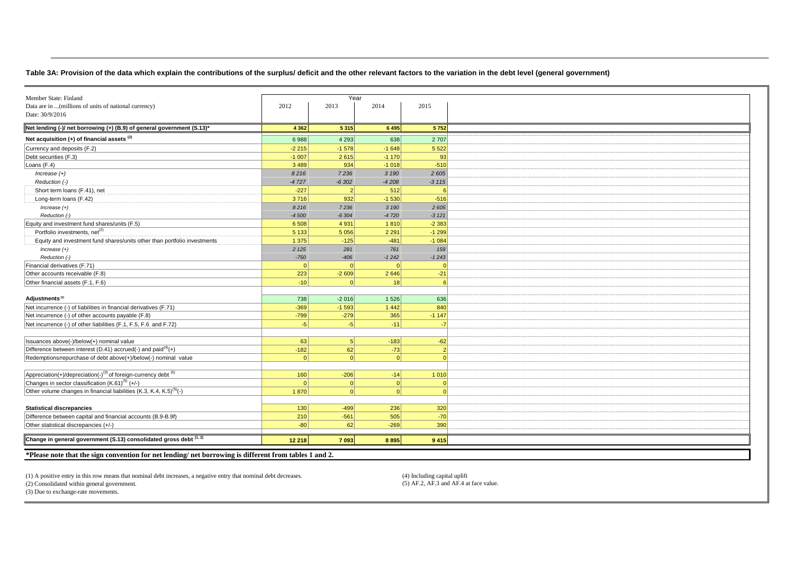#### **Table 3A: Provision of the data which explain the contributions of the surplus/ deficit and the other relevant factors to the variation in the debt level (general government)**

| Member State: Finland<br>Year<br>Data are in  (millions of units of national currency)<br>2012<br>2013<br>2014<br>2015<br>Date: 30/9/2016<br>Net lending (-)/ net borrowing (+) (B.9) of general government (S.13)*<br>4 3 6 2<br>5 3 1 5<br>6 4 9 5<br>5752<br>Net acquisition (+) of financial assets <sup>(2)</sup><br>4 2 9 3<br>638<br>6988<br>2 7 0 7<br>Currency and deposits (F.2)<br>$-1578$<br>$-1648$<br>5 5 2 2<br>$-2215$ |
|----------------------------------------------------------------------------------------------------------------------------------------------------------------------------------------------------------------------------------------------------------------------------------------------------------------------------------------------------------------------------------------------------------------------------------------|
|                                                                                                                                                                                                                                                                                                                                                                                                                                        |
|                                                                                                                                                                                                                                                                                                                                                                                                                                        |
|                                                                                                                                                                                                                                                                                                                                                                                                                                        |
|                                                                                                                                                                                                                                                                                                                                                                                                                                        |
|                                                                                                                                                                                                                                                                                                                                                                                                                                        |
|                                                                                                                                                                                                                                                                                                                                                                                                                                        |
| Debt securities (F.3)<br>$-1007$<br>2615<br>$-1170$<br>93                                                                                                                                                                                                                                                                                                                                                                              |
| Loans (F.4)<br>3 4 8 9<br>934<br>$-1018$<br>$-510$                                                                                                                                                                                                                                                                                                                                                                                     |
| 8216<br>7236<br>3 1 9 0<br>2 6 0 5<br>$Increase (+)$                                                                                                                                                                                                                                                                                                                                                                                   |
| Reduction (-)<br>$-4727$<br>$-6302$<br>$-4208$<br>$-3115$                                                                                                                                                                                                                                                                                                                                                                              |
| Short term loans (F.41), net<br>$-227$<br>512<br>$\overline{2}$                                                                                                                                                                                                                                                                                                                                                                        |
| 932<br>$-1530$<br>$-516$<br>Long-term loans (F.42)<br>3716                                                                                                                                                                                                                                                                                                                                                                             |
| 7236<br>3 190<br>2 605                                                                                                                                                                                                                                                                                                                                                                                                                 |
| $Increase (+)$<br>8216                                                                                                                                                                                                                                                                                                                                                                                                                 |
| Reduction (-)<br>$-4720$<br>$-3121$<br>$-4500$<br>$-6304$                                                                                                                                                                                                                                                                                                                                                                              |
| Equity and investment fund shares/units (F.5)<br>6 5 0 8<br>4 9 3 1<br>1810<br>$-2383$                                                                                                                                                                                                                                                                                                                                                 |
| Portfolio investments, net <sup>(2)</sup><br>5 1 3 3<br>5 0 5 6<br>2 2 9 1<br>$-1299$                                                                                                                                                                                                                                                                                                                                                  |
| $-481$<br>Equity and investment fund shares/units other than portfolio investments<br>1 3 7 5<br>$-125$<br>$-1084$                                                                                                                                                                                                                                                                                                                     |
| 2 1 2 5<br>281<br>761<br>159<br>$Increase (+)$                                                                                                                                                                                                                                                                                                                                                                                         |
| Reduction (-)<br>$-750$<br>$-406$<br>$-1242$<br>$-1243$                                                                                                                                                                                                                                                                                                                                                                                |
| Financial derivatives (F.71)<br> 0 <br>$\Omega$<br>$\Omega$                                                                                                                                                                                                                                                                                                                                                                            |
| 223<br>Other accounts receivable (F.8)<br>$-2609$<br>2 6 4 6<br>$-21$                                                                                                                                                                                                                                                                                                                                                                  |
| Other financial assets (F.1, F.6)<br>$-10$<br>18<br>$\Omega$                                                                                                                                                                                                                                                                                                                                                                           |
|                                                                                                                                                                                                                                                                                                                                                                                                                                        |
| Adjustments <sup>(2)</sup><br>1 5 2 6<br>738<br>$-2016$<br>636                                                                                                                                                                                                                                                                                                                                                                         |
| Net incurrence (-) of liabilities in financial derivatives (F.71)<br>$-1593$<br>1 4 4 2<br>$-369$<br>840                                                                                                                                                                                                                                                                                                                               |
| 365<br>Net incurrence (-) of other accounts payable (F.8)<br>$-799$<br>$-279$<br>$-1147$                                                                                                                                                                                                                                                                                                                                               |
| Net incurrence (-) of other liabilities (F.1, F.5, F.6 and F.72)<br>$-5$<br>$-5$<br>$-11$<br>-7                                                                                                                                                                                                                                                                                                                                        |
|                                                                                                                                                                                                                                                                                                                                                                                                                                        |
| 63<br>Issuances above(-)/below(+) nominal value<br>5 <sup>1</sup><br>$-183$<br>$-62$                                                                                                                                                                                                                                                                                                                                                   |
| Difference between interest (D.41) accrued(-) and paid <sup>(4)</sup> (+)<br>$-182$<br>62<br>$-73$                                                                                                                                                                                                                                                                                                                                     |
| Redemptions/repurchase of debt above(+)/below(-) nominal value<br>$\Omega$<br>$\vert$ 0<br>$\Omega$                                                                                                                                                                                                                                                                                                                                    |
|                                                                                                                                                                                                                                                                                                                                                                                                                                        |
| Appreciation(+)/depreciation(-) <sup>(3)</sup> of foreign-currency debt <sup>(5)</sup><br>160<br>$-206$<br>$-14$<br>1 0 1 0                                                                                                                                                                                                                                                                                                            |
| Changes in sector classification (K.61) <sup>(5)</sup> (+/-)<br>$\Omega$<br> 0 <br> 0                                                                                                                                                                                                                                                                                                                                                  |
| Other volume changes in financial liabilities (K.3, K.4, K.5) <sup>(5)</sup> (-)<br>1870<br>$\vert$ 0<br> 0                                                                                                                                                                                                                                                                                                                            |
|                                                                                                                                                                                                                                                                                                                                                                                                                                        |
| 236<br><b>Statistical discrepancies</b><br>130<br>$-499$<br>320                                                                                                                                                                                                                                                                                                                                                                        |
|                                                                                                                                                                                                                                                                                                                                                                                                                                        |
| Difference between capital and financial accounts (B.9-B.9f)<br>210<br>$-561$<br>505<br>$-70$                                                                                                                                                                                                                                                                                                                                          |
| Other statistical discrepancies (+/-)<br>$-80$<br>62<br>$-269$<br>390                                                                                                                                                                                                                                                                                                                                                                  |
| Change in general government (S.13) consolidated gross debt (1,2)<br>12 218<br>7 0 9 3<br>8 8 9 5<br>9 4 1 5                                                                                                                                                                                                                                                                                                                           |
|                                                                                                                                                                                                                                                                                                                                                                                                                                        |

(1) A positive entry in this row means that nominal debt increases, a negative entry that nominal debt decreases. (4) Including capital uplift (5) AF.2, AF.3 and AF.4 at face value.

 $(2)$  Consolidated within general government.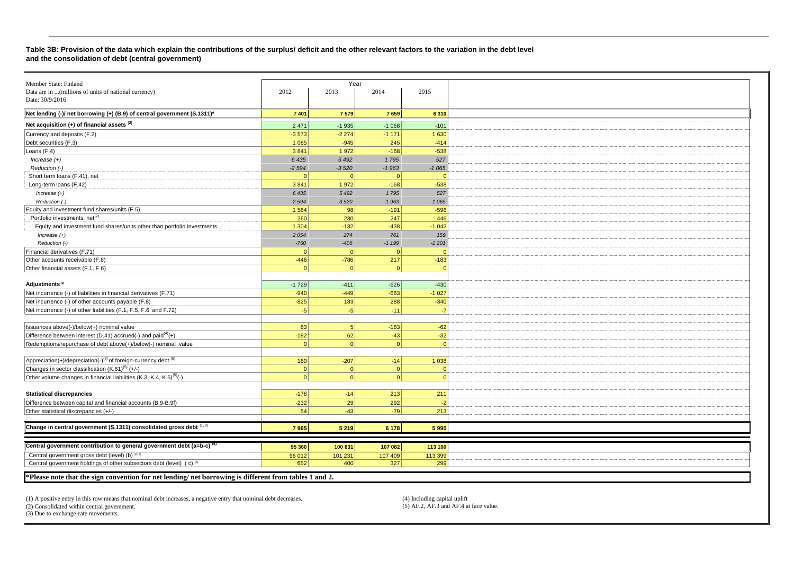#### **Table 3B: Provision of the data which explain the contributions of the surplus/ deficit and the other relevant factors to the variation in the debt level and the consolidation of debt (central government)**

| Member State: Finland                                                                                  |          | Year           |          |           |
|--------------------------------------------------------------------------------------------------------|----------|----------------|----------|-----------|
| Data are in  (millions of units of national currency)                                                  | 2012     | 2013           | 2014     | 2015      |
| Date: 30/9/2016                                                                                        |          |                |          |           |
| Net lending (-)/ net borrowing (+) (B.9) of central government (S.1311)*                               | 7 4 0 1  | 7 5 7 9        | 7659     | 6 3 1 0   |
|                                                                                                        |          |                |          |           |
| Net acquisition $(+)$ of financial assets $(2)$                                                        | 2471     | $-1935$        | $-1068$  | $-101$    |
| Currency and deposits (F.2)                                                                            | $-3573$  | $-2274$        | $-1171$  | 1 6 3 0   |
| Debt securities (F.3)                                                                                  | 1 0 8 5  | $-945$         | 245      | $-414$    |
| Loans $(F.4)$                                                                                          | 3841     | 1972           | $-168$   | $-538$    |
| $Increase (+)$                                                                                         | 6 4 3 5  | 5 4 9 2        | 1795     | 527       |
| Reduction (-)                                                                                          | $-2594$  | $-3520$        | $-1963$  | $-1065$   |
| Short term loans (F.41), net                                                                           | $\Omega$ | $\mathbf{0}$   | $\Omega$ | $\Omega$  |
| Long-term loans (F.42)                                                                                 | 3841     | 1972           | $-168$   | $-538$    |
| $Increase (+)$                                                                                         | 6 4 3 5  | 5 4 9 2        | 1795     | 527       |
| Reduction (-)                                                                                          | $-2594$  | $-3520$        | $-1963$  | $-1065$   |
| Equity and investment fund shares/units (F.5)                                                          | 1 5 6 4  | 98             | $-191$   | $-596$    |
| Portfolio investments, net <sup>(2)</sup>                                                              | 260      | 230            | 247      | 446       |
| Equity and investment fund shares/units other than portfolio investments                               | 1 3 0 4  | $-132$         | $-438$   | $-1042$   |
| Increase $(+)$                                                                                         | 2 0 5 4  | 274            | 761      | 159       |
| Reduction (-)                                                                                          | $-750$   | $-406$         | $-1199$  | $-1201$   |
| Financial derivatives (F.71)                                                                           | $\Omega$ | 0              |          | $\Omega$  |
| Other accounts receivable (F.8)                                                                        | $-446$   | $-786$         | 217      | $-183$    |
| Other financial assets (F.1, F.6)                                                                      | $\Omega$ | $\vert$ 0      |          | $\Omega$  |
|                                                                                                        |          |                |          |           |
| Adjustments <sup>(2)</sup>                                                                             | $-1729$  | $-411$         | $-626$   | $-430$    |
| Net incurrence (-) of liabilities in financial derivatives (F.71)                                      | $-940$   | $-449$         | $-663$   | $-1027$   |
| Net incurrence (-) of other accounts payable (F.8)                                                     | $-825$   | 183            | 288      | $-340$    |
| Net incurrence (-) of other liabilities (F.1, F.5, F.6 and F.72)                                       | $-5$     | $-5$           | $-11$    | $-7$      |
|                                                                                                        |          |                |          |           |
| Issuances above(-)/below(+) nominal value                                                              | 63       | 5 <sup>1</sup> | $-183$   | $-62$     |
| Difference between interest (D.41) accrued(-) and paid $(4)$ (+)                                       | $-182$   | 62             | $-43$    | $-32$     |
| Redemptions/repurchase of debt above(+)/below(-) nominal value                                         | 0        | $\Omega$       | $\Omega$ | $\vert$ 0 |
|                                                                                                        |          |                |          |           |
| Appreciation(+)/depreciation(-) <sup>(3)</sup> of foreign-currency debt <sup>(5)</sup>                 | 160      | $-207$         | $-14$    | 1 0 38    |
| Changes in sector classification (K.61) <sup>(5)</sup> (+/-)                                           | 0        | 0              | 0        | 0         |
| Other volume changes in financial liabilities (K.3, K.4, K.5) <sup>(5)</sup> (-)                       | $\Omega$ | 0              | $\Omega$ | 0         |
|                                                                                                        |          |                |          |           |
| <b>Statistical discrepancies</b>                                                                       | $-178$   | $-14$          | 213      | 211       |
| Difference between capital and financial accounts (B.9-B.9f)                                           | $-232$   | 29             | 292      | $-2$      |
| Other statistical discrepancies (+/-)                                                                  | 54       | $-43$          | $-79$    | 213       |
|                                                                                                        |          |                |          |           |
| Change in central government (S.1311) consolidated gross debt (1, 2)                                   | 7965     | 5 2 1 9        | 6 178    | 5990      |
|                                                                                                        |          |                |          |           |
| Central government contribution to general government debt (a=b-c) <sup>(5)</sup>                      | 95 360   | 100 831        | 107 082  | 113 100   |
| Central government gross debt (level) (b) (2, 5)                                                       | 96 012   | 101 231        | 107 409  | 113 399   |
| Central government holdings of other subsectors debt (level) (c) <sup>(5)</sup>                        | 652      | 400            | 327      | 299       |
|                                                                                                        |          |                |          |           |
| *Please note that the sign convention for net lending/ net borrowing is different from tables 1 and 2. |          |                |          |           |

(1) A positive entry in this row means that nominal debt increases, a negative entry that nominal debt decreases. (4) Including capital uplift (4) Including capital uplift (4) Consolidated within central government. (5) AF

 $(2)$  Consolidated within central government.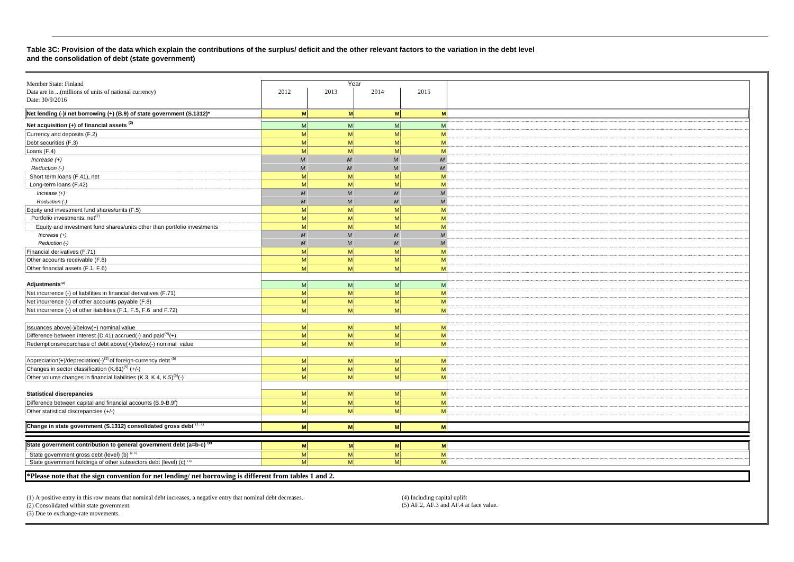#### **Table 3C: Provision of the data which explain the contributions of the surplus/ deficit and the other relevant factors to the variation in the debt level and the consolidation of debt (state government)**

| Member State: Finland                                                                  |                |                | Year            |                |
|----------------------------------------------------------------------------------------|----------------|----------------|-----------------|----------------|
| Data are in  (millions of units of national currency)                                  | 2012           | 2013           | 2014            | 2015           |
| Date: 30/9/2016                                                                        |                |                |                 |                |
|                                                                                        |                |                |                 |                |
| Net lending (-)/ net borrowing (+) (B.9) of state government (S.1312)*                 | <b>M</b>       | <b>M</b>       | M               | <b>M</b>       |
| Net acquisition $(+)$ of financial assets $(2)$                                        | $\mathsf{M}$   | M              | $\mathsf{M}$    | M <sup>2</sup> |
| Currency and deposits (F.2)                                                            | M              | M              | M               | M              |
| Debt securities (F.3)                                                                  | <sub>M</sub>   | мl             | M               | M              |
| Loans (F.4)                                                                            | M <sub>l</sub> | M              | $\mathsf{M}$    | M              |
| $Increase (+)$                                                                         | $\mathcal{M}$  | $\overline{M}$ | M               | M              |
| Reduction (-)                                                                          | M              | $\overline{M}$ | M               | M              |
| Short term loans (F.41), net                                                           | M              | мl             | $\mathsf{M}$    | M              |
| Long-term loans (F.42)                                                                 | M <sub>l</sub> | мl             | -M              | M              |
| Increase $(+)$                                                                         | $\overline{M}$ | $\overline{M}$ | $\overline{M}$  | M              |
| Reduction (-)                                                                          | $\overline{M}$ | $\overline{M}$ | $\overline{M}$  | M              |
| Equity and investment fund shares/units (F.5)                                          | M              | M              | -M              | M              |
| Portfolio investments, net <sup>(2)</sup>                                              | M              | мl             | -M              | M              |
| Equity and investment fund shares/units other than portfolio investments               | $\mathsf{M}$   | мl             | $\mathsf{M}$    | M              |
| $Increase (+)$                                                                         | M              | $\overline{M}$ | $\overline{M}$  | M              |
| Reduction (-)                                                                          | $\overline{M}$ | $\overline{M}$ | $\overline{M}$  | M              |
| Financial derivatives (F.71)                                                           | M              | мl             | M               | M              |
| Other accounts receivable (F.8)                                                        | M              | мl             | M <sub>l</sub>  | M              |
| Other financial assets (F.1, F.6)                                                      | M <sub>l</sub> | M              | M <sub>l</sub>  | M              |
|                                                                                        |                |                |                 |                |
| Adjustments <sup>(2)</sup>                                                             | M <sup>2</sup> | мI             | -M              | M <sup>2</sup> |
| Net incurrence (-) of liabilities in financial derivatives (F.71)                      | M              | M              | M               | M              |
| Net incurrence (-) of other accounts payable (F.8)                                     | $\mathsf{M}$   | M <sup>2</sup> | $\mathsf{M}$    | M              |
| Net incurrence (-) of other liabilities (F.1, F.5, F.6 and F.72)                       | M              | мl             | M               | M              |
|                                                                                        |                |                |                 |                |
|                                                                                        | M              | M              | -M              |                |
| Issuances above(-)/below(+) nominal value                                              | $\mathsf{M}$   | M              |                 | M              |
| Difference between interest (D.41) accrued(-) and paid <sup>(4)</sup> (+)              |                |                | $\mathsf{M}$    | M              |
| Redemptions/repurchase of debt above(+)/below(-) nominal value                         | M <sub>l</sub> | мI             | M <sup>2</sup>  | M              |
|                                                                                        |                |                |                 |                |
| Appreciation(+)/depreciation(-) <sup>(3)</sup> of foreign-currency debt <sup>(5)</sup> | M <sup>2</sup> | мI             | -M              | M              |
| Changes in sector classification (K.61) <sup>(5)</sup> (+/-)                           | M              | M              | M               | M              |
| Other volume changes in financial liabilities (K.3, K.4, K.5) <sup>(5)</sup> (-)       | M <sub>l</sub> | мl             | M               | M              |
|                                                                                        |                |                |                 |                |
| <b>Statistical discrepancies</b>                                                       | M              | M              | $\vert M \vert$ | M              |
| Difference between capital and financial accounts (B.9-B.9f)                           | $\mathsf{M}$   | M              | $\vert M \vert$ | M              |
| Other statistical discrepancies (+/-)                                                  | M              | мI             | M <sub>l</sub>  | M              |
|                                                                                        |                |                |                 |                |
| Change in state government (S.1312) consolidated gross debt $(1, 2)$                   | M              | M              | M               | M              |
|                                                                                        |                |                |                 |                |
| State government contribution to general government debt (a=b-c) <sup>(5)</sup>        | M              | M              | <b>M</b>        | M              |
| State government gross debt (level) (b) (2, 5)                                         | M <sub>l</sub> | M              | M               | M              |
| State government holdings of other subsectors debt (level) (c) (5)                     | M <sub>l</sub> | мl             | M <sup>2</sup>  | <b>M</b>       |
|                                                                                        |                |                |                 |                |

**\*Please note that the sign convention for net lending/ net borrowing is different from tables 1 and 2.** 

(1) A positive entry in this row means that nominal debt increases, a negative entry that nominal debt decreases. (4) Including capital uplift (4) Including capital uplift (4) Including capital uplift (5) AF.2, AF.3 and AF

 $(2)$  Consolidated within state government.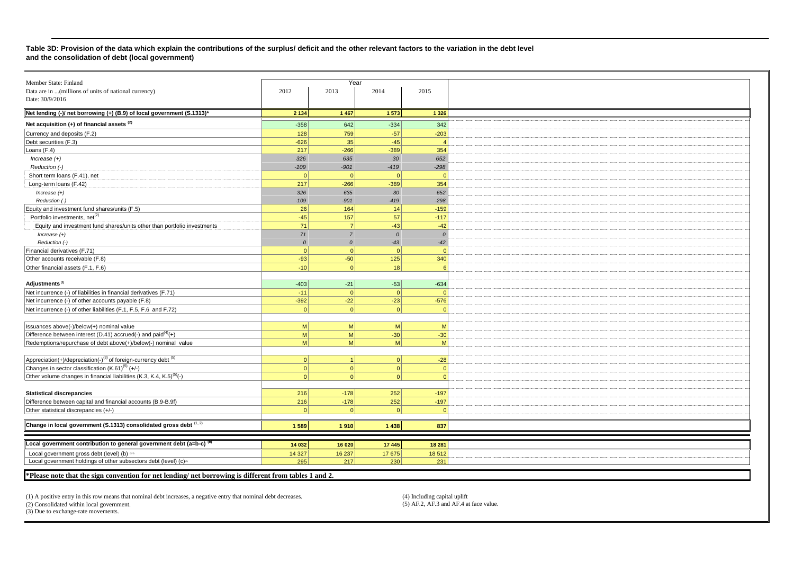#### **Table 3D: Provision of the data which explain the contributions of the surplus/ deficit and the other relevant factors to the variation in the debt level and the consolidation of debt (local government)**

| Member State: Finland                                                                  |                | Year           |                |          |
|----------------------------------------------------------------------------------------|----------------|----------------|----------------|----------|
| Data are in  (millions of units of national currency)                                  | 2012           | 2013           | 2014           | 2015     |
| Date: 30/9/2016                                                                        |                |                |                |          |
| Net lending (-)/ net borrowing (+) (B.9) of local government (S.1313)*                 | 2 1 3 4        | 1 4 6 7        | 1573           | 1 3 2 6  |
| Net acquisition (+) of financial assets <sup>(2)</sup>                                 | $-358$         | 642            | $-334$         | 342      |
| Currency and deposits (F.2)                                                            | 128            | 759            | $-57$          | $-203$   |
| Debt securities (F.3)                                                                  | $-626$         | 35             | $-45$          |          |
|                                                                                        | 217            | $-266$         | $-389$         | 354      |
| Loans (F.4)                                                                            |                |                |                |          |
| $Increase (+)$                                                                         | 326            | 635            | 30             | 652      |
| Reduction (-)                                                                          | $-109$         | $-901$         | $-419$         | $-298$   |
| Short term loans (F.41), net                                                           | 0              | $\Omega$       | $\overline{0}$ |          |
| Long-term loans (F.42)                                                                 | 217            | $-266$         | $-389$         | 354      |
| Increase $(+)$                                                                         | 326            | 635            | 30             | 652      |
| Reduction (-)                                                                          | $-109$         | $-901$         | $-419$         | $-298$   |
| Equity and investment fund shares/units (F.5)                                          | 26             | 164            | 14             | $-159$   |
| Portfolio investments, net <sup>(2)</sup>                                              | $-45$          | 157            | 57             | $-117$   |
| Equity and investment fund shares/units other than portfolio investments               | 71             | $\overline{7}$ | $-43$          | $-42$    |
| Increase $(+)$                                                                         | 71             | $\overline{7}$ | $\mathcal{O}$  | $\Omega$ |
| Reduction (-)                                                                          | $\mathcal{O}$  | $\Omega$       | $-43$          | $-42$    |
| Financial derivatives (F.71)                                                           | 0              | $\Omega$       | $\overline{0}$ | $\Omega$ |
| Other accounts receivable (F.8)                                                        | $-93$          | $-50$          | 125            | 340      |
|                                                                                        |                |                |                |          |
| Other financial assets (F.1, F.6)                                                      | $-10$          | $\Omega$       | 18             |          |
|                                                                                        |                |                |                |          |
| Adjustments <sup>(2)</sup>                                                             | $-403$         | $-21$          | $-53$          | $-634$   |
| Net incurrence (-) of liabilities in financial derivatives (F.71)                      | $-11$          | $\Omega$       | $\Omega$       | $\cap$   |
| Net incurrence (-) of other accounts payable (F.8)                                     | $-392$         | $-22$          | $-23$          | $-576$   |
| Net incurrence (-) of other liabilities (F.1, F.5, F.6 and F.72)                       | 0              | $\Omega$       | $\Omega$       | $\cap$   |
|                                                                                        |                |                |                |          |
| Issuances above(-)/below(+) nominal value                                              | M <sup>2</sup> | <sub>M</sub>   | M              | M        |
| Difference between interest (D.41) accrued(-) and paid $(4)$ (+)                       | $\mathsf{M}$   | <sub>M</sub>   | $-30$          | $-30$    |
| Redemptions/repurchase of debt above(+)/below(-) nominal value                         | M <sup>2</sup> | <sub>M</sub>   | $\mathsf{M}$   | M        |
|                                                                                        |                |                |                |          |
| Appreciation(+)/depreciation(-) <sup>(3)</sup> of foreign-currency debt <sup>(5)</sup> | 0              | -1             | 0              |          |
|                                                                                        |                |                |                | $-28$    |
| Changes in sector classification (K.61) <sup>(5)</sup> (+/-)                           | 0              | $\Omega$       | $\Omega$       | - 0      |
| Other volume changes in financial liabilities (K.3, K.4, K.5) <sup>(5)</sup> (-)       | 0              | $\Omega$       | $\Omega$       |          |
|                                                                                        |                |                |                |          |
| <b>Statistical discrepancies</b>                                                       | 216            | $-178$         | 252            | $-197$   |
| Difference between capital and financial accounts (B.9-B.9f)                           | 216            | $-178$         | 252            | $-197$   |
| Other statistical discrepancies (+/-)                                                  | $\Omega$       | $\Omega$       | $\Omega$       |          |
|                                                                                        |                |                |                |          |
| Change in local government (S.1313) consolidated gross debt $(1, 2)$                   | 1589           | 1910           | 1 4 3 8        | 837      |
|                                                                                        |                |                |                |          |
| Local government contribution to general government debt (a=b-c) <sup>(5)</sup>        | 14 032         | 16 020         | 17 445         | 18 28 1  |
|                                                                                        |                |                |                |          |
| Local government gross debt (level) (b) as                                             | 14 3 27        | 16 237         | 17 675         | 18512    |
| Local government holdings of other subsectors debt (level) (c) <sup>®</sup>            | 295            | 217            | 230            | 231      |
|                                                                                        |                |                |                |          |

**\*Please note that the sign convention for net lending/ net borrowing is different from tables 1 and 2.** 

(1) A positive entry in this row means that nominal debt increases, a negative entry that nominal debt decreases. (4) Including capital uplift (4) Including capital uplift (4) Consolidated within local government. (5) AF.2

 $(2)$  Consolidated within local government.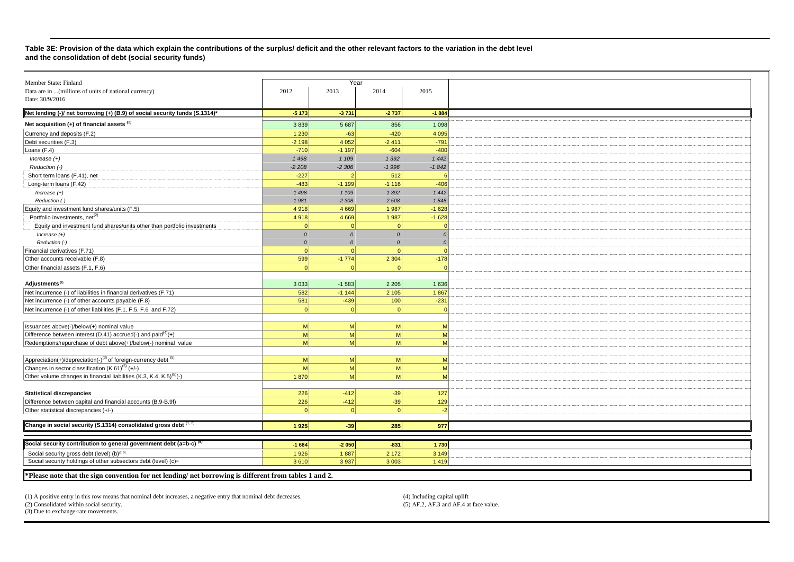#### **Table 3E: Provision of the data which explain the contributions of the surplus/ deficit and the other relevant factors to the variation in the debt level and the consolidation of debt (social security funds)**

| Member State: Finland |                                                                                                                                                                                                                                                       |                                                                                                                                                                                                                                                                         |                                                                                                                                                                                                                                                           |  |  |
|-----------------------|-------------------------------------------------------------------------------------------------------------------------------------------------------------------------------------------------------------------------------------------------------|-------------------------------------------------------------------------------------------------------------------------------------------------------------------------------------------------------------------------------------------------------------------------|-----------------------------------------------------------------------------------------------------------------------------------------------------------------------------------------------------------------------------------------------------------|--|--|
|                       |                                                                                                                                                                                                                                                       |                                                                                                                                                                                                                                                                         |                                                                                                                                                                                                                                                           |  |  |
|                       |                                                                                                                                                                                                                                                       |                                                                                                                                                                                                                                                                         | 2015                                                                                                                                                                                                                                                      |  |  |
|                       |                                                                                                                                                                                                                                                       |                                                                                                                                                                                                                                                                         |                                                                                                                                                                                                                                                           |  |  |
| $-5173$               | $-3731$                                                                                                                                                                                                                                               | $-2737$                                                                                                                                                                                                                                                                 | $-1884$                                                                                                                                                                                                                                                   |  |  |
|                       |                                                                                                                                                                                                                                                       |                                                                                                                                                                                                                                                                         | 1 0 9 8                                                                                                                                                                                                                                                   |  |  |
|                       |                                                                                                                                                                                                                                                       |                                                                                                                                                                                                                                                                         | 4 0 9 5                                                                                                                                                                                                                                                   |  |  |
|                       |                                                                                                                                                                                                                                                       |                                                                                                                                                                                                                                                                         | $-791$                                                                                                                                                                                                                                                    |  |  |
|                       |                                                                                                                                                                                                                                                       |                                                                                                                                                                                                                                                                         | $-400$                                                                                                                                                                                                                                                    |  |  |
|                       |                                                                                                                                                                                                                                                       |                                                                                                                                                                                                                                                                         |                                                                                                                                                                                                                                                           |  |  |
|                       |                                                                                                                                                                                                                                                       |                                                                                                                                                                                                                                                                         | 1 4 4 2                                                                                                                                                                                                                                                   |  |  |
|                       |                                                                                                                                                                                                                                                       |                                                                                                                                                                                                                                                                         | $-1842$                                                                                                                                                                                                                                                   |  |  |
|                       |                                                                                                                                                                                                                                                       |                                                                                                                                                                                                                                                                         | 6                                                                                                                                                                                                                                                         |  |  |
|                       |                                                                                                                                                                                                                                                       |                                                                                                                                                                                                                                                                         | $-406$                                                                                                                                                                                                                                                    |  |  |
| 1 4 9 8               | 1 109                                                                                                                                                                                                                                                 | 1 3 9 2                                                                                                                                                                                                                                                                 | 1 4 4 2                                                                                                                                                                                                                                                   |  |  |
| $-1981$               | $-2308$                                                                                                                                                                                                                                               | $-2508$                                                                                                                                                                                                                                                                 | $-1848$                                                                                                                                                                                                                                                   |  |  |
| 4918                  | 4 6 6 9                                                                                                                                                                                                                                               | 1987                                                                                                                                                                                                                                                                    | $-1628$                                                                                                                                                                                                                                                   |  |  |
|                       |                                                                                                                                                                                                                                                       |                                                                                                                                                                                                                                                                         | $-1628$                                                                                                                                                                                                                                                   |  |  |
| $\Omega$              | 0                                                                                                                                                                                                                                                     | $\Omega$                                                                                                                                                                                                                                                                | $\Omega$                                                                                                                                                                                                                                                  |  |  |
|                       |                                                                                                                                                                                                                                                       |                                                                                                                                                                                                                                                                         | $\mathcal{O}$                                                                                                                                                                                                                                             |  |  |
|                       |                                                                                                                                                                                                                                                       |                                                                                                                                                                                                                                                                         | 0                                                                                                                                                                                                                                                         |  |  |
|                       |                                                                                                                                                                                                                                                       |                                                                                                                                                                                                                                                                         | 0                                                                                                                                                                                                                                                         |  |  |
|                       |                                                                                                                                                                                                                                                       |                                                                                                                                                                                                                                                                         |                                                                                                                                                                                                                                                           |  |  |
|                       |                                                                                                                                                                                                                                                       |                                                                                                                                                                                                                                                                         | $-178$                                                                                                                                                                                                                                                    |  |  |
|                       |                                                                                                                                                                                                                                                       |                                                                                                                                                                                                                                                                         | $\Omega$                                                                                                                                                                                                                                                  |  |  |
|                       |                                                                                                                                                                                                                                                       |                                                                                                                                                                                                                                                                         |                                                                                                                                                                                                                                                           |  |  |
|                       |                                                                                                                                                                                                                                                       |                                                                                                                                                                                                                                                                         | 1 6 3 6                                                                                                                                                                                                                                                   |  |  |
|                       |                                                                                                                                                                                                                                                       |                                                                                                                                                                                                                                                                         | 1867                                                                                                                                                                                                                                                      |  |  |
|                       |                                                                                                                                                                                                                                                       |                                                                                                                                                                                                                                                                         | $-231$                                                                                                                                                                                                                                                    |  |  |
| $\Omega$              | 0                                                                                                                                                                                                                                                     |                                                                                                                                                                                                                                                                         | 0                                                                                                                                                                                                                                                         |  |  |
|                       |                                                                                                                                                                                                                                                       |                                                                                                                                                                                                                                                                         |                                                                                                                                                                                                                                                           |  |  |
| M                     | M                                                                                                                                                                                                                                                     | M <sub>l</sub>                                                                                                                                                                                                                                                          | M                                                                                                                                                                                                                                                         |  |  |
| M                     | M                                                                                                                                                                                                                                                     | M <sub>l</sub>                                                                                                                                                                                                                                                          | M                                                                                                                                                                                                                                                         |  |  |
|                       |                                                                                                                                                                                                                                                       |                                                                                                                                                                                                                                                                         | $\mathsf{M}$                                                                                                                                                                                                                                              |  |  |
|                       |                                                                                                                                                                                                                                                       |                                                                                                                                                                                                                                                                         |                                                                                                                                                                                                                                                           |  |  |
|                       |                                                                                                                                                                                                                                                       |                                                                                                                                                                                                                                                                         | M                                                                                                                                                                                                                                                         |  |  |
|                       |                                                                                                                                                                                                                                                       |                                                                                                                                                                                                                                                                         |                                                                                                                                                                                                                                                           |  |  |
|                       |                                                                                                                                                                                                                                                       |                                                                                                                                                                                                                                                                         | M                                                                                                                                                                                                                                                         |  |  |
|                       |                                                                                                                                                                                                                                                       |                                                                                                                                                                                                                                                                         | M                                                                                                                                                                                                                                                         |  |  |
|                       |                                                                                                                                                                                                                                                       |                                                                                                                                                                                                                                                                         |                                                                                                                                                                                                                                                           |  |  |
|                       |                                                                                                                                                                                                                                                       |                                                                                                                                                                                                                                                                         | 127                                                                                                                                                                                                                                                       |  |  |
| 226                   | $-412$                                                                                                                                                                                                                                                | $-39$                                                                                                                                                                                                                                                                   | 129                                                                                                                                                                                                                                                       |  |  |
| $\Omega$              | $\Omega$                                                                                                                                                                                                                                              | $\Omega$                                                                                                                                                                                                                                                                | $-2$                                                                                                                                                                                                                                                      |  |  |
|                       |                                                                                                                                                                                                                                                       |                                                                                                                                                                                                                                                                         |                                                                                                                                                                                                                                                           |  |  |
| 1925                  | $-39$                                                                                                                                                                                                                                                 | 285                                                                                                                                                                                                                                                                     | 977                                                                                                                                                                                                                                                       |  |  |
|                       |                                                                                                                                                                                                                                                       |                                                                                                                                                                                                                                                                         |                                                                                                                                                                                                                                                           |  |  |
|                       |                                                                                                                                                                                                                                                       |                                                                                                                                                                                                                                                                         | 1730                                                                                                                                                                                                                                                      |  |  |
|                       |                                                                                                                                                                                                                                                       |                                                                                                                                                                                                                                                                         | 3 1 4 9                                                                                                                                                                                                                                                   |  |  |
|                       |                                                                                                                                                                                                                                                       |                                                                                                                                                                                                                                                                         | 1419                                                                                                                                                                                                                                                      |  |  |
|                       |                                                                                                                                                                                                                                                       |                                                                                                                                                                                                                                                                         |                                                                                                                                                                                                                                                           |  |  |
|                       | 2012<br>3839<br>1 2 3 0<br>$-2198$<br>$-710$<br>1498<br>$-2208$<br>$-227$<br>$-483$<br>4918<br>$\cal O$<br>$\mathcal{O}$<br>$\Omega$<br>599<br>$\Omega$<br>3033<br>582<br>581<br> M <br>M <sub>l</sub><br>M<br>1870<br>226<br>$-1684$<br>1926<br>3610 | 2013<br>5 6 8 7<br>$-63$<br>4 0 5 2<br>$-1197$<br>1 1 0 9<br>$-2306$<br>$\overline{2}$<br>$-1199$<br>4 6 6 9<br>$\Omega$<br>$\Omega$<br>$\Omega$<br>$-1774$<br>$\Omega$<br>$-1583$<br>$-1144$<br>$-439$<br> M <br> M <br>M<br>M<br>$-412$<br>$-2050$<br>1887<br>3 9 3 7 | Year<br>2014<br>856<br>$-420$<br>$-2411$<br>$-604$<br>1 3 9 2<br>$-1996$<br>512<br>$-1116$<br>1987<br>$\Omega$<br>$\Omega$<br>2 3 0 4<br>2 2 0 5<br>2 1 0 5<br>100<br>M <sub>l</sub><br>M <sub>l</sub><br>M<br>M<br>$-39$<br>$-831$<br>2 1 7 2<br>3 0 0 3 |  |  |

**\*Please note that the sign convention for net lending/ net borrowing is different from tables 1 and 2.** 

(1) A positive entry in this row means that nominal debt increases, a negative entry that nominal debt decreases. (4) Including capital uplift (4) Including capital uplift (4) Consolidated within social security. (5) AF.2,

 $(2)$  Consolidated within social security.